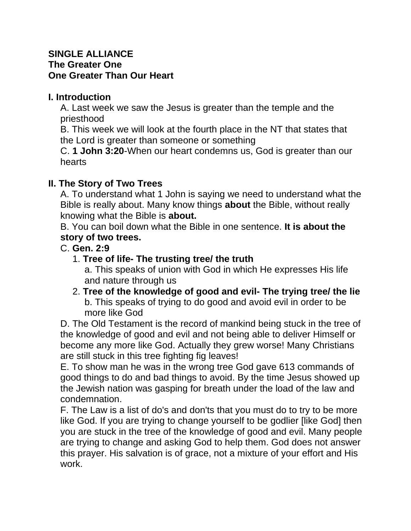#### **SINGLE ALLIANCE The Greater One One Greater Than Our Heart**

## **I. Introduction**

A. Last week we saw the Jesus is greater than the temple and the priesthood

B. This week we will look at the fourth place in the NT that states that the Lord is greater than someone or something

C. **1 John 3:20**-When our heart condemns us, God is greater than our hearts

## **II. The Story of Two Trees**

A. To understand what 1 John is saying we need to understand what the Bible is really about. Many know things **about** the Bible, without really knowing what the Bible is **about.**

B. You can boil down what the Bible in one sentence. **It is about the story of two trees.**

### C. **Gen. 2:9**

# 1. **Tree of life- The trusting tree/ the truth**

a. This speaks of union with God in which He expresses His life and nature through us

2. **Tree of the knowledge of good and evil- The trying tree/ the lie** b. This speaks of trying to do good and avoid evil in order to be more like God

D. The Old Testament is the record of mankind being stuck in the tree of the knowledge of good and evil and not being able to deliver Himself or become any more like God. Actually they grew worse! Many Christians are still stuck in this tree fighting fig leaves!

E. To show man he was in the wrong tree God gave 613 commands of good things to do and bad things to avoid. By the time Jesus showed up the Jewish nation was gasping for breath under the load of the law and condemnation.

F. The Law is a list of do's and don'ts that you must do to try to be more like God. If you are trying to change yourself to be godlier [like God] then you are stuck in the tree of the knowledge of good and evil. Many people are trying to change and asking God to help them. God does not answer this prayer. His salvation is of grace, not a mixture of your effort and His work.